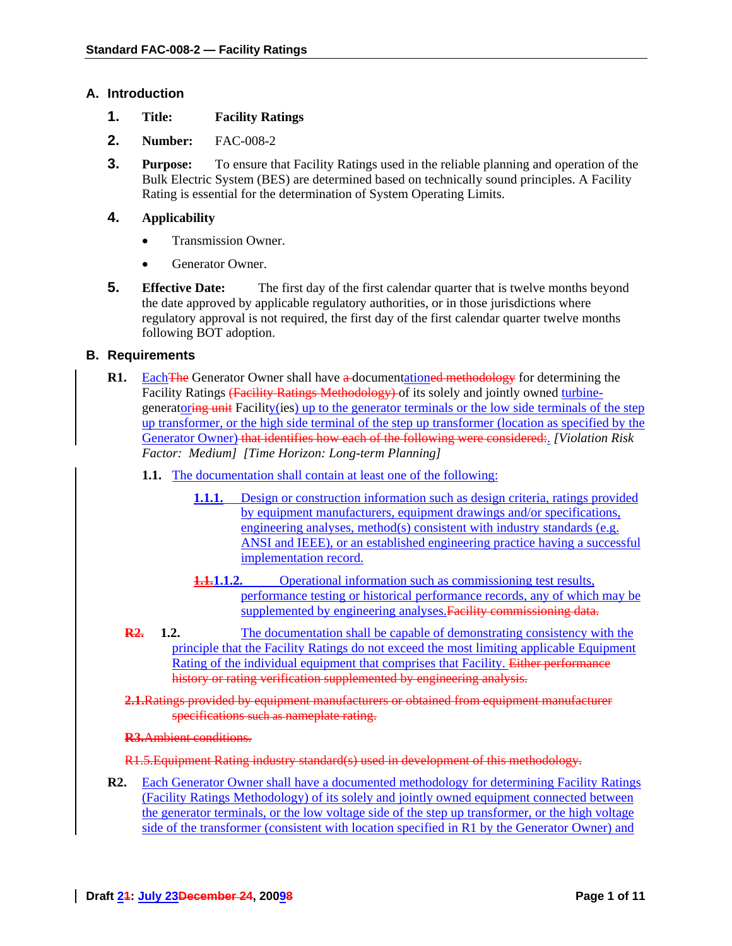### **A. Introduction**

- **1. Title: Facility Ratings**
- **2. Number:** FAC-008-2
- **3. Purpose:** To ensure that Facility Ratings used in the reliable planning and operation of the Bulk Electric System (BES) are determined based on technically sound principles. A Facility Rating is essential for the determination of System Operating Limits.

## **4. Applicability**

- Transmission Owner.
- Generator Owner.
- **5. Effective Date:** The first day of the first calendar quarter that is twelve months beyond the date approved by applicable regulatory authorities, or in those jurisdictions where regulatory approval is not required, the first day of the first calendar quarter twelve months following BOT adoption.

### **B. Requirements**

- **R1.** Each The Generator Owner shall have a documentationed methodology for determining the Facility Ratings (Facility Ratings Methodology) of its solely and jointly owned turbinegeneratoring unit Facility(ies) up to the generator terminals or the low side terminals of the step up transformer, or the high side terminal of the step up transformer (location as specified by the Generator Owner) that identifies how each of the following were considered:. *[Violation Risk Factor: Medium] [Time Horizon: Long-term Planning]* 
	- **1.1.** The documentation shall contain at least one of the following:
		- **1.1.1.** Design or construction information such as design criteria, ratings provided by equipment manufacturers, equipment drawings and/or specifications, engineering analyses, method(s) consistent with industry standards (e.g. ANSI and IEEE), or an established engineering practice having a successful implementation record.
		- **1.1.1.1.2.** Operational information such as commissioning test results, performance testing or historical performance records, any of which may be supplemented by engineering analyses. Facility commissioning data.
	- **R2.** 1.2. The documentation shall be capable of demonstrating consistency with the principle that the Facility Ratings do not exceed the most limiting applicable Equipment Rating of the individual equipment that comprises that Facility. Either performance history or rating verification supplemented by engineering analysis.

**2.1.**Ratings provided by equipment manufacturers or obtained from equipment manufacturer specifications such as nameplate rating.

#### **R3.**Ambient conditions.

#### R1.5.Equipment Rating industry standard(s) used in development of this methodology.

R2. Each Generator Owner shall have a documented methodology for determining Facility Ratings (Facility Ratings Methodology) of its solely and jointly owned equipment connected between the generator terminals, or the low voltage side of the step up transformer, or the high voltage side of the transformer (consistent with location specified in R1 by the Generator Owner) and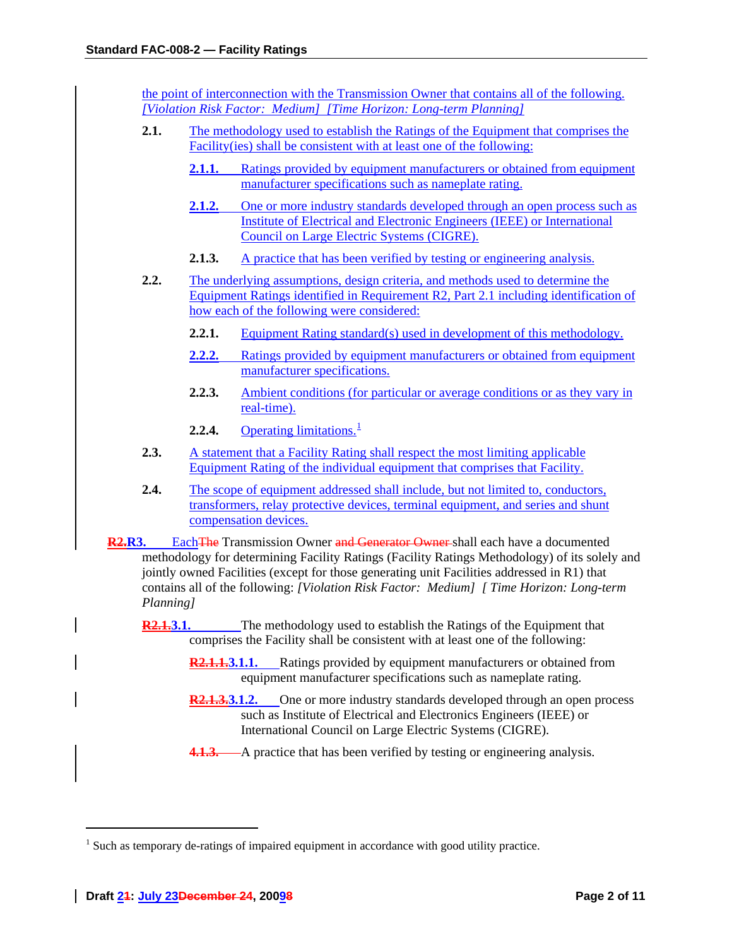the point of interconnection with the Transmission Owner that contains all of the following. *[Violation Risk Factor: Medium] [Time Horizon: Long-term Planning]*

- **2.1.** The methodology used to establish the Ratings of the Equipment that comprises the Facility(ies) shall be consistent with at least one of the following:
	- **2.1.1.** Ratings provided by equipment manufacturers or obtained from equipment manufacturer specifications such as nameplate rating.
	- **2.1.2.** One or more industry standards developed through an open process such as Institute of Electrical and Electronic Engineers (IEEE) or International Council on Large Electric Systems (CIGRE).
	- **2.1.3.** A practice that has been verified by testing or engineering analysis.
- **2.2.** The underlying assumptions, design criteria, and methods used to determine the Equipment Ratings identified in Requirement R2, Part 2.1 including identification of how each of the following were considered:
	- **2.2.1.** Equipment Rating standard(s) used in development of this methodology.
	- **2.2.2.** Ratings provided by equipment manufacturers or obtained from equipment manufacturer specifications.
	- **2.2.3.** Ambient conditions (for particular or average conditions or as they vary in real-time).
	- **2.2.4.** Operating limitations.<sup>[1](#page-1-0)</sup>
- 2.3. A statement that a Facility Rating shall respect the most limiting applicable Equipment Rating of the individual equipment that comprises that Facility.
- **2.4.** The scope of equipment addressed shall include, but not limited to, conductors, transformers, relay protective devices, terminal equipment, and series and shunt compensation devices.

**R2.R3.** Each The Transmission Owner and Generator Owner shall each have a documented methodology for determining Facility Ratings (Facility Ratings Methodology) of its solely and jointly owned Facilities (except for those generating unit Facilities addressed in R1) that contains all of the following: *[Violation Risk Factor: Medium] [ Time Horizon: Long-term Planning]* 

- **R2.1.3.1.** The methodology used to establish the Ratings of the Equipment that comprises the Facility shall be consistent with at least one of the following:
	- **R2.1.1.3.1.1.** Ratings provided by equipment manufacturers or obtained from equipment manufacturer specifications such as nameplate rating.
	- **R2.1.3.3.1.2.** One or more industry standards developed through an open process such as Institute of Electrical and Electronics Engineers (IEEE) or International Council on Large Electric Systems (CIGRE).
	- **4.1.3.** A practice that has been verified by testing or engineering analysis.

<span id="page-1-0"></span> $<sup>1</sup>$  Such as temporary de-ratings of impaired equipment in accordance with good utility practice.</sup>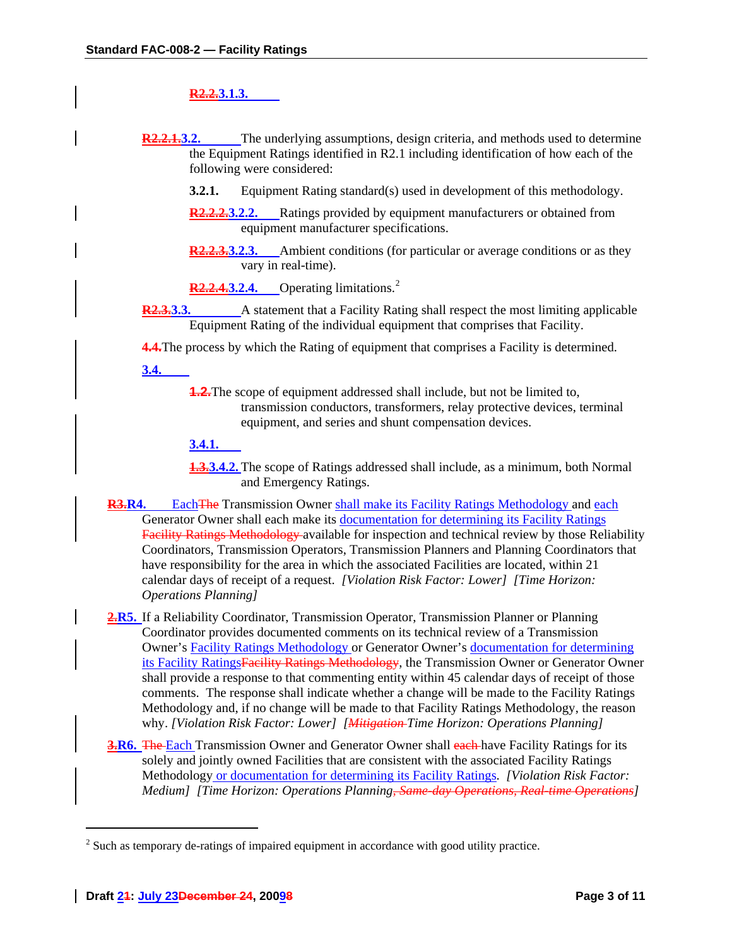# **R2.2.3.1.3.**

**R2.2.1.3.2.** The underlying assumptions, design criteria, and methods used to determine the Equipment Ratings identified in R2.1 including identification of how each of the following were considered:

- **3.2.1.** Equipment Rating standard(s) used in development of this methodology.
- **R2.2.2.3.2.2.** Ratings provided by equipment manufacturers or obtained from equipment manufacturer specifications.
- **R2.2.3.3.2.3.** Ambient conditions (for particular or average conditions or as they vary in real-time).
- **R[2](#page-2-0).2.4.3.2.4.** Operating limitations.<sup>2</sup>
- **R2.3.3.3.** A statement that a Facility Rating shall respect the most limiting applicable Equipment Rating of the individual equipment that comprises that Facility.

**4.4.**The process by which the Rating of equipment that comprises a Facility is determined.

**3.4.**

**1.2.** The scope of equipment addressed shall include, but not be limited to, transmission conductors, transformers, relay protective devices, terminal equipment, and series and shunt compensation devices.

## **3.4.1.**

**1.3.3.4.2.** The scope of Ratings addressed shall include, as a minimum, both Normal and Emergency Ratings.

- **R3.R4.** Each The Transmission Owner shall make its Facility Ratings Methodology and each Generator Owner shall each make its documentation for determining its Facility Ratings Facility Ratings Methodology available for inspection and technical review by those Reliability Coordinators, Transmission Operators, Transmission Planners and Planning Coordinators that have responsibility for the area in which the associated Facilities are located, within 21 calendar days of receipt of a request. *[Violation Risk Factor: Lower] [Time Horizon: Operations Planning]*
- 2.R5. If a Reliability Coordinator, Transmission Operator, Transmission Planner or Planning Coordinator provides documented comments on its technical review of a Transmission Owner's Facility Ratings Methodology or Generator Owner's documentation for determining its Facility RatingsFacility Ratings Methodology, the Transmission Owner or Generator Owner shall provide a response to that commenting entity within 45 calendar days of receipt of those comments. The response shall indicate whether a change will be made to the Facility Ratings Methodology and, if no change will be made to that Facility Ratings Methodology, the reason why. *[Violation Risk Factor: Lower] [Mitigation Time Horizon: Operations Planning]*
- **3.R6.** The Each Transmission Owner and Generator Owner shall each have Facility Ratings for its solely and jointly owned Facilities that are consistent with the associated Facility Ratings Methodology or documentation for determining its Facility Ratings. *[Violation Risk Factor: Medium] [Time Horizon: Operations Planning, Same-day Operations, Real-time Operations]*

<span id="page-2-0"></span> $2^{2}$  Such as temporary de-ratings of impaired equipment in accordance with good utility practice.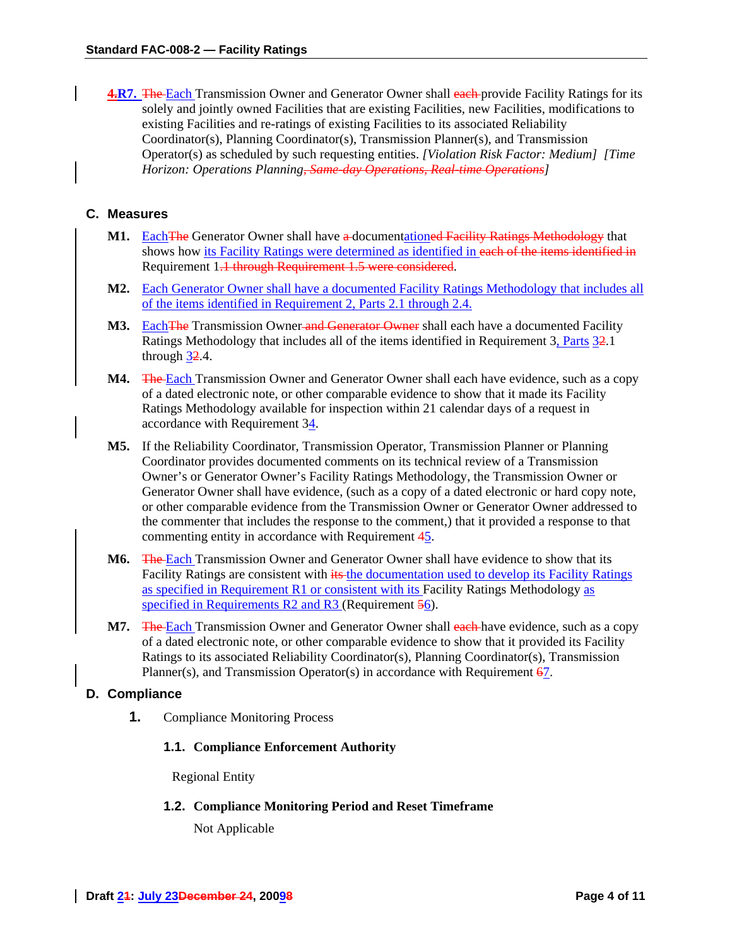**4.R7.** The Each Transmission Owner and Generator Owner shall each provide Facility Ratings for its solely and jointly owned Facilities that are existing Facilities, new Facilities, modifications to existing Facilities and re-ratings of existing Facilities to its associated Reliability Coordinator(s), Planning Coordinator(s), Transmission Planner(s), and Transmission Operator(s) as scheduled by such requesting entities. *[Violation Risk Factor: Medium] [Time Horizon: Operations Planning, Same-day Operations, Real-time Operations]* 

## **C. Measures**

- **M1.** Each The Generator Owner shall have a documentationed Facility Ratings Methodology that shows how its Facility Ratings were determined as identified in each of the items identified in Requirement 1.1 through Requirement 1.5 were considered.
- **M2.** Each Generator Owner shall have a documented Facility Ratings Methodology that includes all of the items identified in Requirement 2, Parts 2.1 through 2.4.
- **M3.** Each The Transmission Owner and Generator Owner shall each have a documented Facility Ratings Methodology that includes all of the items identified in Requirement 3, Parts 32.1 through  $32.4$ .
- **M4.** The Each Transmission Owner and Generator Owner shall each have evidence, such as a copy of a dated electronic note, or other comparable evidence to show that it made its Facility Ratings Methodology available for inspection within 21 calendar days of a request in accordance with Requirement 34.
- **M5.** If the Reliability Coordinator, Transmission Operator, Transmission Planner or Planning Coordinator provides documented comments on its technical review of a Transmission Owner's or Generator Owner's Facility Ratings Methodology, the Transmission Owner or Generator Owner shall have evidence, (such as a copy of a dated electronic or hard copy note, or other comparable evidence from the Transmission Owner or Generator Owner addressed to the commenter that includes the response to the comment,) that it provided a response to that commenting entity in accordance with Requirement 45.
- **M6.** The Each Transmission Owner and Generator Owner shall have evidence to show that its Facility Ratings are consistent with its the documentation used to develop its Facility Ratings as specified in Requirement R1 or consistent with its Facility Ratings Methodology as specified in Requirements R2 and R3 (Requirement 56).
- **M7.** The Each Transmission Owner and Generator Owner shall each have evidence, such as a copy of a dated electronic note, or other comparable evidence to show that it provided its Facility Ratings to its associated Reliability Coordinator(s), Planning Coordinator(s), Transmission Planner(s), and Transmission Operator(s) in accordance with Requirement 67.

### **D. Compliance**

**1.** Compliance Monitoring Process

### **1.1. Compliance Enforcement Authority**

Regional Entity

### **1.2. Compliance Monitoring Period and Reset Timeframe**

Not Applicable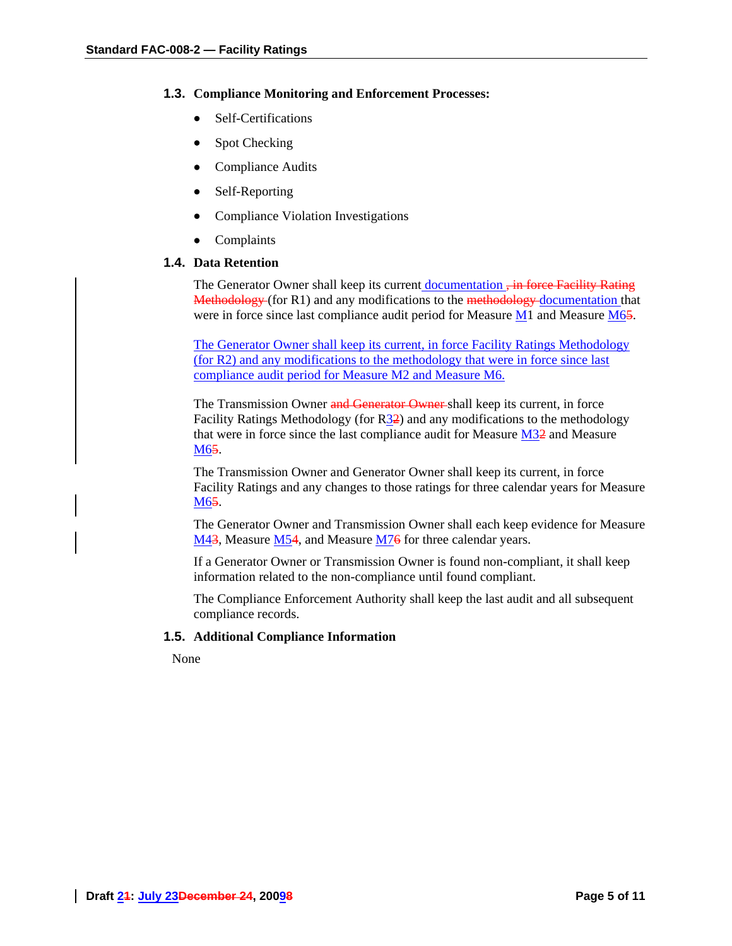#### **1.3. Compliance Monitoring and Enforcement Processes:**

- Self-Certifications
- Spot Checking
- Compliance Audits
- Self-Reporting
- Compliance Violation Investigations
- Complaints

## **1.4. Data Retention**

The Generator Owner shall keep its current documentation, in force Facility Rating Methodology (for R1) and any modifications to the methodology documentation that were in force since last compliance audit period for Measure  $M1$  and Measure  $M65$ .

The Generator Owner shall keep its current, in force Facility Ratings Methodology (for R2) and any modifications to the methodology that were in force since last compliance audit period for Measure M2 and Measure M6.

The Transmission Owner and Generator Owner shall keep its current, in force Facility Ratings Methodology (for  $R_3^2$ ) and any modifications to the methodology that were in force since the last compliance audit for Measure M32 and Measure M65.

The Transmission Owner and Generator Owner shall keep its current, in force Facility Ratings and any changes to those ratings for three calendar years for Measure M65.

The Generator Owner and Transmission Owner shall each keep evidence for Measure M43, Measure M54, and Measure M76 for three calendar years.

If a Generator Owner or Transmission Owner is found non-compliant, it shall keep information related to the non-compliance until found compliant.

The Compliance Enforcement Authority shall keep the last audit and all subsequent compliance records.

### **1.5. Additional Compliance Information**

None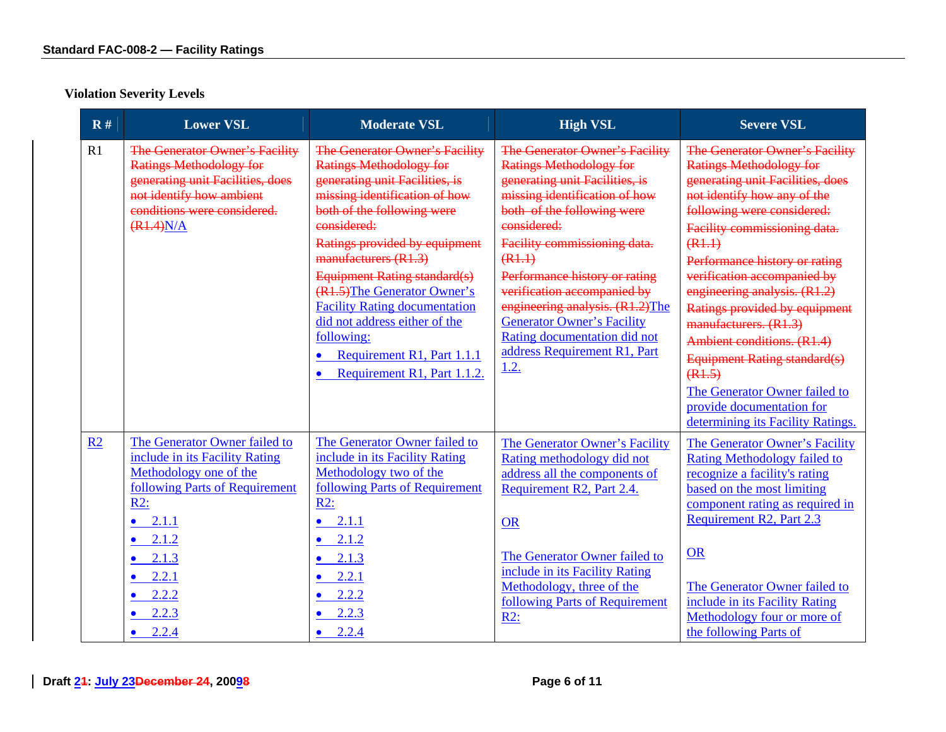| R#             | <b>Lower VSL</b>                                                                                                                                                                                                                      | <b>Moderate VSL</b>                                                                                                                                                                                                                                                                                                                                                                                                                                                        | <b>High VSL</b>                                                                                                                                                                                                                                                                                                                                                                                                                            | <b>Severe VSL</b>                                                                                                                                                                                                                                                                                                                                                                                                                                                                                                                                       |
|----------------|---------------------------------------------------------------------------------------------------------------------------------------------------------------------------------------------------------------------------------------|----------------------------------------------------------------------------------------------------------------------------------------------------------------------------------------------------------------------------------------------------------------------------------------------------------------------------------------------------------------------------------------------------------------------------------------------------------------------------|--------------------------------------------------------------------------------------------------------------------------------------------------------------------------------------------------------------------------------------------------------------------------------------------------------------------------------------------------------------------------------------------------------------------------------------------|---------------------------------------------------------------------------------------------------------------------------------------------------------------------------------------------------------------------------------------------------------------------------------------------------------------------------------------------------------------------------------------------------------------------------------------------------------------------------------------------------------------------------------------------------------|
| R1             | <b>The Generator Owner's Facility</b><br><b>Ratings Methodology for</b><br>generating unit Facilities, does<br>not identify how ambient<br>conditions were considered.<br>(R1.4)N/A                                                   | The Generator Owner's Facility<br><b>Ratings Methodology for</b><br>generating unit Facilities, is<br>missing identification of how<br>both of the following were<br>considered:<br>Ratings provided by equipment<br>manufacturers (R1.3)<br>Equipment Rating standard(s)<br>(R1.5) The Generator Owner's<br><b>Facility Rating documentation</b><br>did not address either of the<br>following:<br>Requirement R1, Part 1.1.1<br>$\bullet$<br>Requirement R1, Part 1.1.2. | The Generator Owner's Facility<br><b>Ratings Methodology for</b><br>generating unit Facilities, is<br>missing identification of how<br>both of the following were<br>eonsidered:<br>Facility commissioning data.<br>(R1.1)<br>Performance history or rating<br>verification accompanied by<br>engineering analysis. (R1.2)The<br><b>Generator Owner's Facility</b><br>Rating documentation did not<br>address Requirement R1, Part<br>1.2. | The Generator Owner's Facility<br><b>Ratings Methodology for</b><br>generating unit Facilities, does<br>not identify how any of the<br>following were considered:<br>Facility commissioning data.<br>(R1.1)<br>Performance history or rating<br>verification accompanied by<br>engineering analysis. (R1.2)<br>Ratings provided by equipment<br>manufacturers. (R1.3)<br>Ambient conditions. (R1.4)<br><b>Equipment Rating standard(s)</b><br>(R1.5)<br>The Generator Owner failed to<br>provide documentation for<br>determining its Facility Ratings. |
| R <sub>2</sub> | The Generator Owner failed to<br>include in its Facility Rating<br>Methodology one of the<br>following Parts of Requirement<br>R2:<br>2.1.1<br>2.1.2<br>$\bullet$<br>2.1.3<br>2.2.1<br>$\bullet$<br>2.2.2<br>2.2.3<br>$\bullet$ 2.2.4 | The Generator Owner failed to<br>include in its Facility Rating<br>Methodology two of the<br>following Parts of Requirement<br>$R2$ :<br>2.1.1<br>$\bullet$<br>$\bullet$ 2.1.2<br>$\bullet$ 2.1.3<br>$\bullet$ 2.2.1<br>$\bullet$ 2.2.2<br>$\bullet$ 2.2.3<br>$\bullet$ 2.2.4                                                                                                                                                                                              | The Generator Owner's Facility<br>Rating methodology did not<br>address all the components of<br>Requirement R2, Part 2.4.<br><b>OR</b><br>The Generator Owner failed to<br>include in its Facility Rating<br>Methodology, three of the<br>following Parts of Requirement<br>$R2$ :                                                                                                                                                        | The Generator Owner's Facility<br><b>Rating Methodology failed to</b><br>recognize a facility's rating<br>based on the most limiting<br>component rating as required in<br>Requirement R2, Part 2.3<br><b>OR</b><br>The Generator Owner failed to<br>include in its Facility Rating<br>Methodology four or more of<br>the following Parts of                                                                                                                                                                                                            |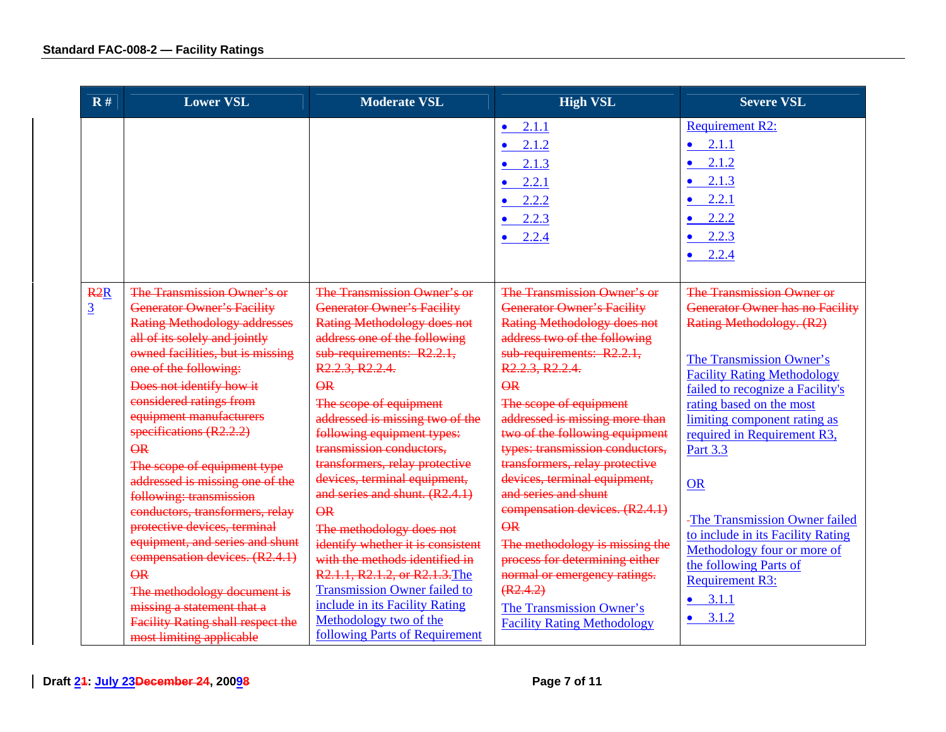| $\mathbf{R}$ #        | <b>Lower VSL</b>                                                                                                                                                                                                                                                                                                                                                                                                                                                                                                                                                                                                                                                                                                                                | <b>Moderate VSL</b>                                                                                                                                                                                                                                                                                                                                                                                                                                                                                                                                                                                                                                                                                                          | <b>High VSL</b>                                                                                                                                                                                                                                                                                                                                                                                                                                                                                                                                                                                                                                                                      | <b>Severe VSL</b>                                                                                                                                                                                                                                                                                                                                                                                                                                                                                                     |
|-----------------------|-------------------------------------------------------------------------------------------------------------------------------------------------------------------------------------------------------------------------------------------------------------------------------------------------------------------------------------------------------------------------------------------------------------------------------------------------------------------------------------------------------------------------------------------------------------------------------------------------------------------------------------------------------------------------------------------------------------------------------------------------|------------------------------------------------------------------------------------------------------------------------------------------------------------------------------------------------------------------------------------------------------------------------------------------------------------------------------------------------------------------------------------------------------------------------------------------------------------------------------------------------------------------------------------------------------------------------------------------------------------------------------------------------------------------------------------------------------------------------------|--------------------------------------------------------------------------------------------------------------------------------------------------------------------------------------------------------------------------------------------------------------------------------------------------------------------------------------------------------------------------------------------------------------------------------------------------------------------------------------------------------------------------------------------------------------------------------------------------------------------------------------------------------------------------------------|-----------------------------------------------------------------------------------------------------------------------------------------------------------------------------------------------------------------------------------------------------------------------------------------------------------------------------------------------------------------------------------------------------------------------------------------------------------------------------------------------------------------------|
|                       |                                                                                                                                                                                                                                                                                                                                                                                                                                                                                                                                                                                                                                                                                                                                                 |                                                                                                                                                                                                                                                                                                                                                                                                                                                                                                                                                                                                                                                                                                                              | • $2.1.1$<br>$\bullet$ 2.1.2<br>$\bullet$ 2.1.3<br>$\bullet$ 2.2.1<br>$\bullet$ 2.2.2<br>$\bullet$ 2.2.3<br>$\bullet$ 2.2.4                                                                                                                                                                                                                                                                                                                                                                                                                                                                                                                                                          | <b>Requirement R2:</b><br>2.1.1<br>$\bullet$<br>2.1.2<br>$\bullet$<br>2.1.3<br>2.2.1<br>$\bullet$<br>2.2.2<br>2.2.3<br>$\bullet$ 2.2.4                                                                                                                                                                                                                                                                                                                                                                                |
| R2R<br>$\overline{3}$ | The Transmission Owner's or<br><b>Generator Owner's Facility</b><br><b>Rating Methodology addresses</b><br>all of its solely and jointly<br>owned facilities, but is missing<br>one of the following:<br>Does not identify how it<br>considered ratings from<br>equipment manufacturers<br>specifications (R2.2.2)<br>$\overline{\mathsf{R}}$<br>The scope of equipment type<br>addressed is missing one of the<br>following: transmission<br>conductors, transformers, relay<br>protective devices, terminal<br>equipment, and series and shunt<br>compensation devices. (R2.4.1)<br>$\overline{\Theta}R$<br>The methodology document is<br>missing a statement that a<br><b>Facility Rating shall respect the</b><br>most limiting applicable | The Transmission Owner's or<br><b>Generator Owner's Facility</b><br><b>Rating Methodology does not</b><br>address one of the following<br>sub-requirements: R2.2.1,<br>R2.2.3, R2.2.4.<br>$\overline{\mathsf{R}}$<br>The scope of equipment<br>addressed is missing two of the<br>following equipment types:<br>transmission conductors,<br>transformers, relay protective<br>devices, terminal equipment,<br>and series and shunt. (R2.4.1)<br>QR<br>The methodology does not<br>identify whether it is consistent<br>with the methods identified in<br>R2.1.1, R2.1.2, or R2.1.3. The<br><b>Transmission Owner failed to</b><br>include in its Facility Rating<br>Methodology two of the<br>following Parts of Requirement | The Transmission Owner's or<br><b>Generator Owner's Facility</b><br><b>Rating Methodology does not</b><br>address two of the following<br>sub-requirements: R2.2.1,<br>R2.2.3, R2.2.4.<br>$\overline{\Theta}$<br>The scope of equipment<br>addressed is missing more than<br>two of the following equipment<br>types: transmission conductors,<br>transformers, relay protective<br>devices, terminal equipment,<br>and series and shunt<br>compensation devices. (R2.4.1)<br>$\overline{\Theta}R$<br>The methodology is missing the<br>process for determining either<br>normal or emergency ratings.<br>(R2.4.2)<br>The Transmission Owner's<br><b>Facility Rating Methodology</b> | The Transmission Owner or<br><b>Generator Owner has no Facility</b><br>Rating Methodology. (R2)<br>The Transmission Owner's<br><b>Facility Rating Methodology</b><br>failed to recognize a Facility's<br>rating based on the most<br>limiting component rating as<br>required in Requirement R3,<br>Part 3.3<br><b>OR</b><br>-The Transmission Owner failed<br>to include in its Facility Rating<br>Methodology four or more of<br>the following Parts of<br><b>Requirement R3:</b><br>3.1.1<br>$\bullet$<br>$-3.1.2$ |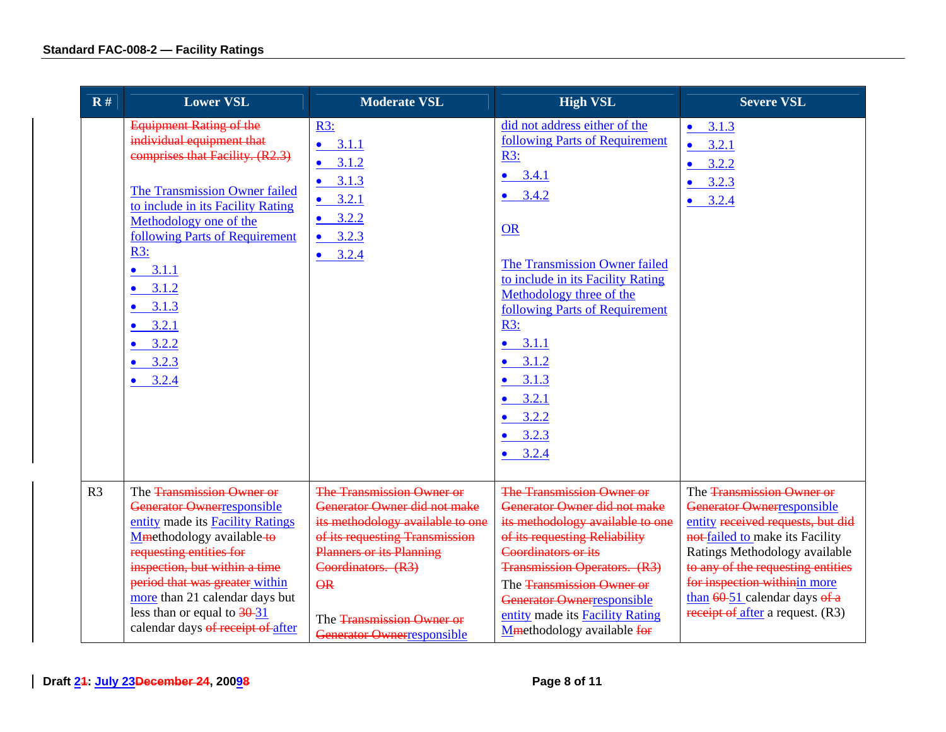| $\mathbf{R}$ # | <b>Lower VSL</b>                                                                                                                                                                                                                                                                                                                                                     | <b>Moderate VSL</b>                                                                                                                                                                                                                                       | <b>High VSL</b>                                                                                                                                                                                                                                                                                                                                                                             | <b>Severe VSL</b>                                                                                                                                                                                                                                                                                                   |
|----------------|----------------------------------------------------------------------------------------------------------------------------------------------------------------------------------------------------------------------------------------------------------------------------------------------------------------------------------------------------------------------|-----------------------------------------------------------------------------------------------------------------------------------------------------------------------------------------------------------------------------------------------------------|---------------------------------------------------------------------------------------------------------------------------------------------------------------------------------------------------------------------------------------------------------------------------------------------------------------------------------------------------------------------------------------------|---------------------------------------------------------------------------------------------------------------------------------------------------------------------------------------------------------------------------------------------------------------------------------------------------------------------|
|                | <b>Equipment Rating of the</b><br>individual equipment that<br>comprises that Facility. (R2.3)<br>The Transmission Owner failed<br>to include in its Facility Rating<br>Methodology one of the<br>following Parts of Requirement<br>R3:<br>3.1.1<br>$\bullet$<br>3.1.2<br>$\bullet$<br>$\bullet$ 3.1.3<br>$-3.2.1$<br>$-3.2.2$<br>$\bullet$ 3.2.3<br>$\bullet$ 3.2.4 | R3:<br>3.1.1<br>$\bullet$<br>3.1.2<br>$\bullet$<br>3.1.3<br>$\bullet$<br>$\bullet$ 3.2.1<br>3.2.2<br>3.2.3<br>$\bullet$<br>$\bullet$ 3.2.4                                                                                                                | did not address either of the<br>following Parts of Requirement<br>R3:<br>$\bullet$ 3.4.1<br>$-3.4.2$<br><b>OR</b><br>The Transmission Owner failed<br>to include in its Facility Rating<br>Methodology three of the<br>following Parts of Requirement<br>R3:<br>$\bullet$ 3.1.1<br>$\bullet$ 3.1.2<br>$\bullet$ 3.1.3<br>$-3.2.1$<br>$\bullet$ 3.2.2<br>$\bullet$ 3.2.3<br>$\bullet$ 3.2.4 | $\bullet$ 3.1.3<br>3.2.1<br>$\bullet$<br>3.2.2<br>3.2.3<br>$\bullet$<br>$-3.2.4$                                                                                                                                                                                                                                    |
| R <sub>3</sub> | The Transmission Owner or<br>Generator Ownerresponsible<br>entity made its Facility Ratings<br>Mmethodology available-to<br>requesting entities for<br>inspection, but within a time<br>period that was greater within<br>more than 21 calendar days but<br>less than or equal to $\frac{30-31}{2}$<br>calendar days of receipt of after                             | The Transmission Owner or<br>Generator Owner did not make<br>its methodology available to one<br>of its requesting Transmission<br><b>Planners or its Planning</b><br>Coordinators. (R3)<br>QR<br>The Transmission Owner or<br>Generator Ownerresponsible | <b>The Transmission Owner or</b><br>Generator Owner did not make<br>its methodology available to one<br>of its requesting Reliability<br>Coordinators or its<br><b>Transmission Operators. (R3)</b><br>The Transmission Owner or<br>Generator Ownerresponsible<br>entity made its Facility Rating<br>Mmethodology available for                                                             | The Transmission Owner or<br>Generator Ownerresponsible<br>entity received requests, but did<br>not-failed to make its Facility<br>Ratings Methodology available<br>to any of the requesting entities<br>for inspection withinin more<br>than $60-51$ calendar days of $\bf{a}$<br>receipt of after a request. (R3) |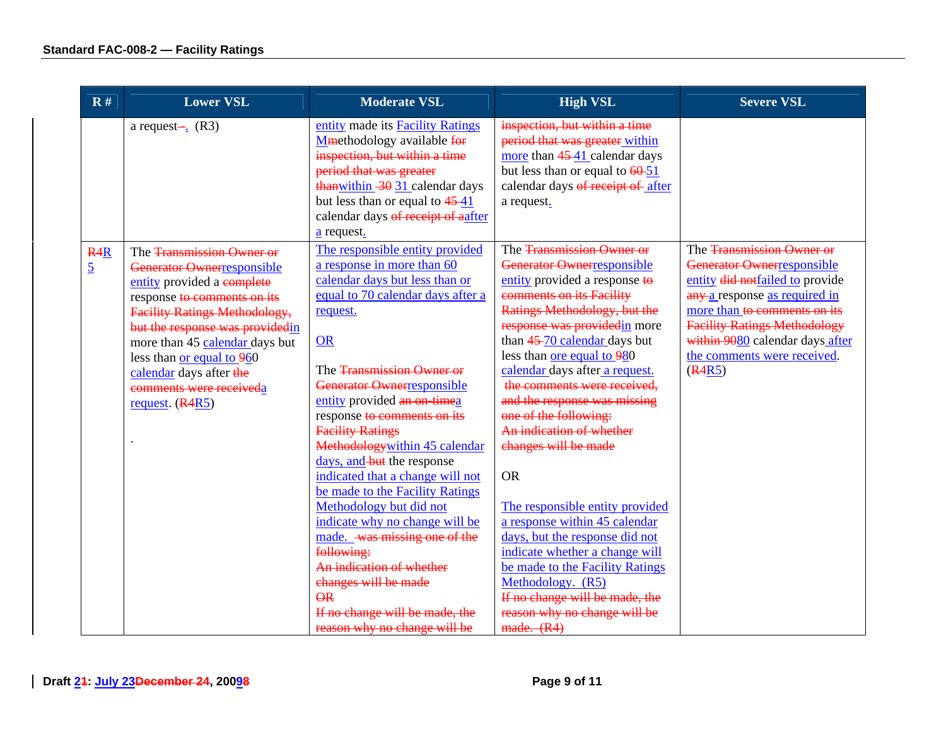| $\mathbf{R}$ #                     | <b>Lower VSL</b>                                                                                                                                                                                                                                                                                                                          | <b>Moderate VSL</b>                                                                                                                                                                                                                                                                                                                                                                                                                                                                                                                                                                                                                                            | <b>High VSL</b>                                                                                                                                                                                                                                                                                                                                                                                                                                                                                                                                                                                                                                                                                                 | <b>Severe VSL</b>                                                                                                                                                                                                                                                              |
|------------------------------------|-------------------------------------------------------------------------------------------------------------------------------------------------------------------------------------------------------------------------------------------------------------------------------------------------------------------------------------------|----------------------------------------------------------------------------------------------------------------------------------------------------------------------------------------------------------------------------------------------------------------------------------------------------------------------------------------------------------------------------------------------------------------------------------------------------------------------------------------------------------------------------------------------------------------------------------------------------------------------------------------------------------------|-----------------------------------------------------------------------------------------------------------------------------------------------------------------------------------------------------------------------------------------------------------------------------------------------------------------------------------------------------------------------------------------------------------------------------------------------------------------------------------------------------------------------------------------------------------------------------------------------------------------------------------------------------------------------------------------------------------------|--------------------------------------------------------------------------------------------------------------------------------------------------------------------------------------------------------------------------------------------------------------------------------|
|                                    | a request- $\frac{1}{2}$ (R3)                                                                                                                                                                                                                                                                                                             | entity made its Facility Ratings<br>Mmethodology available for<br>inspection, but within a time<br>period that was greater<br>thanwithin $-30$ 31 calendar days<br>but less than or equal to $4541$<br>calendar days of receipt of aafter<br>$\frac{a}{c}$ request.                                                                                                                                                                                                                                                                                                                                                                                            | inspection, but within a time<br>period that was greater within<br>more than 45-41 calendar days<br>but less than or equal to $\frac{60-51}{2}$<br>calendar days of receipt of after<br>a request.                                                                                                                                                                                                                                                                                                                                                                                                                                                                                                              |                                                                                                                                                                                                                                                                                |
| R <sub>4</sub> R<br>$\overline{5}$ | The Transmission Owner or<br>Generator Ownerresponsible<br>entity provided a complete<br>response to comments on its<br><b>Facility Ratings Methodology,</b><br>but the response was providedin<br>more than 45 calendar days but<br>less than or equal to 960<br>calendar days after the<br>comments were receiveda<br>request. $(R4R5)$ | The responsible entity provided<br>a response in more than 60<br>calendar days but less than or<br>equal to 70 calendar days after a<br>request.<br><b>OR</b><br>The Transmission Owner or<br>Generator Ownerresponsible<br>entity provided an on-timea<br>response to comments on its<br><b>Facility Ratings</b><br>Methodologywithin 45 calendar<br>days, and but the response<br>indicated that a change will not<br>be made to the Facility Ratings<br>Methodology but did not<br>indicate why no change will be<br>made. was missing one of the<br>following:<br>An indication of whether<br>changes will be made<br>AR<br>If no change will be made, the | The Transmission Owner or<br>Generator Ownerresponsible<br>entity provided a response to<br>comments on its Facility<br>Ratings Methodology, but the<br>response was providedin more<br>than 45-70 calendar days but<br>less than ore equal to 980<br>calendar days after a request.<br>the comments were received,<br>and the response was missing<br>one of the following:<br>An indication of whether<br>changes will be made<br><b>OR</b><br>The responsible entity provided<br>a response within 45 calendar<br>days, but the response did not<br>indicate whether a change will<br>be made to the Facility Ratings<br>Methodology. (R5)<br>If no change will be made, the<br>reason why no change will be | The Transmission Owner or<br>Generator Ownerresponsible<br>entity did notfailed to provide<br>any a response as required in<br>more than to comments on its<br><b>Facility Ratings Methodology</b><br>within 9080 calendar days after<br>the comments were received.<br>(R4R5) |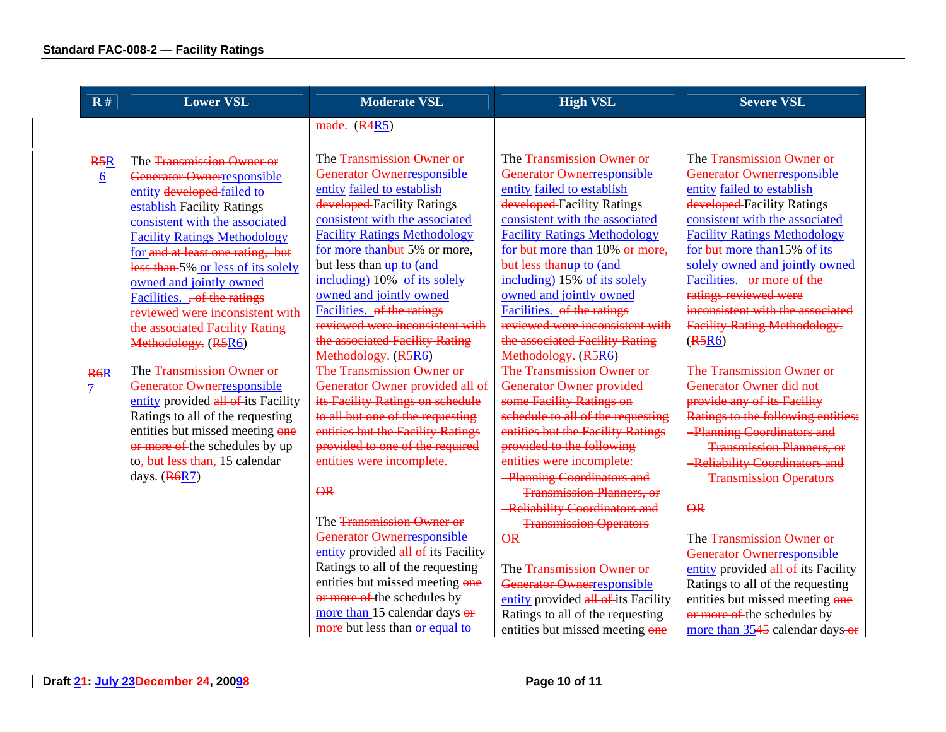| R#                                 | <b>Lower VSL</b>                                                                                                                                                                                                                                                                                                                                                                                       | <b>Moderate VSL</b>                                                                                                                                                                                                                                                                                                                                                                   | <b>High VSL</b>                                                                                                                                                                                                                                                                                                                                                                       | <b>Severe VSL</b>                                                                                                                                                                                                                                                                                                                                                                                |
|------------------------------------|--------------------------------------------------------------------------------------------------------------------------------------------------------------------------------------------------------------------------------------------------------------------------------------------------------------------------------------------------------------------------------------------------------|---------------------------------------------------------------------------------------------------------------------------------------------------------------------------------------------------------------------------------------------------------------------------------------------------------------------------------------------------------------------------------------|---------------------------------------------------------------------------------------------------------------------------------------------------------------------------------------------------------------------------------------------------------------------------------------------------------------------------------------------------------------------------------------|--------------------------------------------------------------------------------------------------------------------------------------------------------------------------------------------------------------------------------------------------------------------------------------------------------------------------------------------------------------------------------------------------|
|                                    |                                                                                                                                                                                                                                                                                                                                                                                                        | made. (R4R5)                                                                                                                                                                                                                                                                                                                                                                          |                                                                                                                                                                                                                                                                                                                                                                                       |                                                                                                                                                                                                                                                                                                                                                                                                  |
| R5R<br>$6 \overline{6}$            | The Transmission Owner or<br>Generator Ownerresponsible<br>entity developed-failed to<br>establish Facility Ratings<br>consistent with the associated<br><b>Facility Ratings Methodology</b><br>for and at least one rating, but<br>less than 5% or less of its solely<br>owned and jointly owned<br>Facilities. , of the ratings<br>reviewed were inconsistent with<br>the associated Facility Rating | The Transmission Owner or<br>Generator Ownerresponsible<br>entity failed to establish<br>developed Facility Ratings<br>consistent with the associated<br><b>Facility Ratings Methodology</b><br>for more thanbut 5% or more,<br>but less than up to (and<br>including) 10% -of its solely<br>owned and jointly owned<br>Facilities. of the ratings<br>reviewed were inconsistent with | The Transmission Owner or<br>Generator Ownerresponsible<br>entity failed to establish<br>developed Facility Ratings<br>consistent with the associated<br><b>Facility Ratings Methodology</b><br>for but-more than 10% or more,<br>but less thanup to (and<br>including) 15% of its solely<br>owned and jointly owned<br>Facilities. of the ratings<br>reviewed were inconsistent with | The Transmission Owner or<br>Generator Ownerresponsible<br>entity failed to establish<br>developed Facility Ratings<br>consistent with the associated<br><b>Facility Ratings Methodology</b><br>for but more than 15% of its<br>solely owned and jointly owned<br>Facilities. or more of the<br>ratings reviewed were<br>inconsistent with the associated<br><b>Facility Rating Methodology.</b> |
|                                    | Methodology. (R5R6)                                                                                                                                                                                                                                                                                                                                                                                    | the associated Facility Rating<br>Methodology. (R5R6)                                                                                                                                                                                                                                                                                                                                 | the associated Facility Rating<br>Methodology. (R5R6)                                                                                                                                                                                                                                                                                                                                 | (R5R6)                                                                                                                                                                                                                                                                                                                                                                                           |
| R <sub>6</sub> R<br>$\overline{1}$ | The Transmission Owner or<br>Generator Ownerresponsible<br>entity provided all of its Facility<br>Ratings to all of the requesting<br>entities but missed meeting one<br>or more of the schedules by up<br>to, but less than, 15 calendar<br>days. $(R6R7)$                                                                                                                                            | The Transmission Owner or<br>Generator Owner provided all of<br>its Facility Ratings on schedule<br>to all but one of the requesting<br>entities but the Facility Ratings<br>provided to one of the required<br>entities were incomplete.<br><b>QR</b>                                                                                                                                | <b>The Transmission Owner or</b><br>Generator Owner provided<br>some Facility Ratings on<br>schedule to all of the requesting<br>entities but the Facility Ratings<br>provided to the following<br>entities were incomplete:<br><b>Planning Coordinators and</b><br><b>Transmission Planners, or</b><br>-Reliability Coordinators and                                                 | The Transmission Owner or<br>Generator Owner did not<br>provide any of its Facility<br>Ratings to the following entities:<br><b>Planning Coordinators and</b><br><b>Transmission Planners, or</b><br>-Reliability Coordinators and<br><b>Transmission Operators</b><br>QR                                                                                                                        |
|                                    |                                                                                                                                                                                                                                                                                                                                                                                                        | The Transmission Owner or<br>Generator Ownerresponsible<br>entity provided all of its Facility<br>Ratings to all of the requesting<br>entities but missed meeting one<br>or more of the schedules by<br>more than 15 calendar days or<br>more but less than or equal to                                                                                                               | <b>Transmission Operators</b><br>$\overline{\Theta}R$<br>The Transmission Owner or<br>Generator Ownerresponsible<br>entity provided all of its Facility<br>Ratings to all of the requesting<br>entities but missed meeting one                                                                                                                                                        | The Transmission Owner or<br>Generator Ownerresponsible<br>entity provided all of its Facility<br>Ratings to all of the requesting<br>entities but missed meeting one<br>or more of the schedules by<br>more than 3545 calendar days-or                                                                                                                                                          |